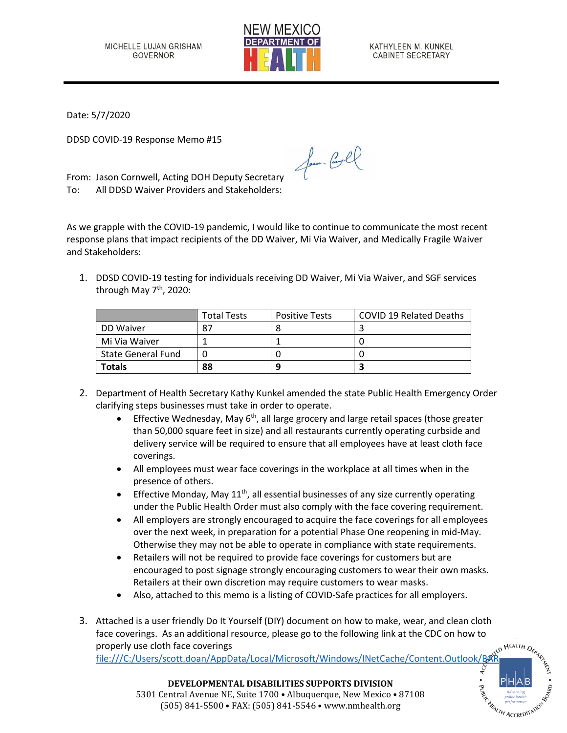

KATHYLEEN M. KUNKEL **CABINET SECRETARY** 

Date: 5/7/2020

DDSD COVID-19 Response Memo #15

From: Jason Cornwell, Acting DOH Deputy Secretary To: All DDSD Waiver Providers and Stakeholders:

As we grapple with the COVID-19 pandemic, I would like to continue to communicate the most recent response plans that impact recipients of the DD Waiver, Mi Via Waiver, and Medically Fragile Waiver and Stakeholders:

for Cool

1. DDSD COVID-19 testing for individuals receiving DD Waiver, Mi Via Waiver, and SGF services through May 7<sup>th</sup>, 2020:

|                           | <b>Total Tests</b> | <b>Positive Tests</b> | <b>COVID 19 Related Deaths</b> |
|---------------------------|--------------------|-----------------------|--------------------------------|
| DD Waiver                 | 87                 |                       |                                |
| Mi Via Waiver             |                    |                       |                                |
| <b>State General Fund</b> |                    |                       |                                |
| Totals                    | 88                 | q                     |                                |

- 2. Department of Health Secretary Kathy Kunkel amended the state Public Health Emergency Order clarifying steps businesses must take in order to operate.
	- Effective Wednesday, May  $6<sup>th</sup>$ , all large grocery and large retail spaces (those greater than 50,000 square feet in size) and all restaurants currently operating curbside and delivery service will be required to ensure that all employees have at least cloth face coverings.
	- All employees must wear face coverings in the workplace at all times when in the presence of others.
	- Effective Monday, May  $11<sup>th</sup>$ , all essential businesses of any size currently operating under the Public Health Order must also comply with the face covering requirement.
	- All employers are strongly encouraged to acquire the face coverings for all employees over the next week, in preparation for a potential Phase One reopening in mid-May. Otherwise they may not be able to operate in compliance with state requirements.
	- Retailers will not be required to provide face coverings for customers but are encouraged to post signage strongly encouraging customers to wear their own masks. Retailers at their own discretion may require customers to wear masks.
	- Also, attached to this memo is a listing of COVID-Safe practices for all employers.
- 3. Attached is a user friendly Do It Yourself (DIY) document on how to make, wear, and clean cloth face coverings. As an additional resource, please go to the following link at the CDC on how to properly use cloth face coverings

file:///C:/Users/scott.doan/AppData/Local/Microsoft/Windows/INetCache/Content.Outlook/BA



**DEVELOPMENTAL DISABILITIES SUPPORTS DIVISION** 5301 Central Avenue NE, Suite 1700 • Albuquerque, New Mexico • 87108 (505) 841-5500 • FAX: (505) 841-5546 • www.nmhealth.org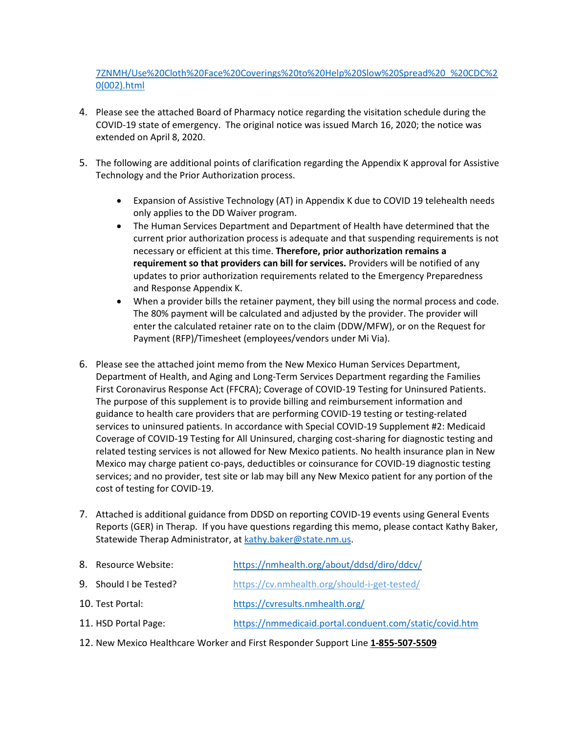[7ZNMH/Use%20Cloth%20Face%20Coverings%20to%20Help%20Slow%20Spread%20\\_%20CDC%2](file:///C:/Users/scott.doan/AppData/Local/Microsoft/Windows/INetCache/Content.Outlook/BAR7ZNMH/Use%20Cloth%20Face%20Coverings%20to%20Help%20Slow%20Spread%20_%20CDC%20(002).html) [0\(002\).html](file:///C:/Users/scott.doan/AppData/Local/Microsoft/Windows/INetCache/Content.Outlook/BAR7ZNMH/Use%20Cloth%20Face%20Coverings%20to%20Help%20Slow%20Spread%20_%20CDC%20(002).html)

- 4. Please see the attached Board of Pharmacy notice regarding the visitation schedule during the COVID-19 state of emergency. The original notice was issued March 16, 2020; the notice was extended on April 8, 2020.
- 5. The following are additional points of clarification regarding the Appendix K approval for Assistive Technology and the Prior Authorization process.
	- Expansion of Assistive Technology (AT) in Appendix K due to COVID 19 telehealth needs only applies to the DD Waiver program.
	- The Human Services Department and Department of Health have determined that the current prior authorization process is adequate and that suspending requirements is not necessary or efficient at this time. **Therefore, prior authorization remains a requirement so that providers can bill for services.** Providers will be notified of any updates to prior authorization requirements related to the Emergency Preparedness and Response Appendix K.
	- When a provider bills the retainer payment, they bill using the normal process and code. The 80% payment will be calculated and adjusted by the provider. The provider will enter the calculated retainer rate on to the claim (DDW/MFW), or on the Request for Payment (RFP)/Timesheet (employees/vendors under Mi Via).
- 6. Please see the attached joint memo from the New Mexico Human Services Department, Department of Health, and Aging and Long-Term Services Department regarding the Families First Coronavirus Response Act (FFCRA); Coverage of COVID-19 Testing for Uninsured Patients. The purpose of this supplement is to provide billing and reimbursement information and guidance to health care providers that are performing COVID-19 testing or testing-related services to uninsured patients. In accordance with Special COVID-19 Supplement #2: Medicaid Coverage of COVID-19 Testing for All Uninsured, charging cost-sharing for diagnostic testing and related testing services is not allowed for New Mexico patients. No health insurance plan in New Mexico may charge patient co-pays, deductibles or coinsurance for COVID-19 diagnostic testing services; and no provider, test site or lab may bill any New Mexico patient for any portion of the cost of testing for COVID-19.
- 7. Attached is additional guidance from DDSD on reporting COVID-19 events using General Events Reports (GER) in Therap. If you have questions regarding this memo, please contact Kathy Baker, Statewide Therap Administrator, a[t kathy.baker@state.nm.us.](mailto:kathy.baker@state.nm.us)

| https://nmhealth.org/about/ddsd/diro/ddcv/                                                 |
|--------------------------------------------------------------------------------------------|
| https://cv.nmhealth.org/should-i-get-tested/                                               |
| https://cvresults.nmhealth.org/                                                            |
| https://nmmedicaid.portal.conduent.com/static/covid.htm                                    |
| 8. Resource Website:<br>9. Should I be Tested?<br>10. Test Portal:<br>11. HSD Portal Page: |

12. New Mexico Healthcare Worker and First Responder Support Line **1-855-507-5509**